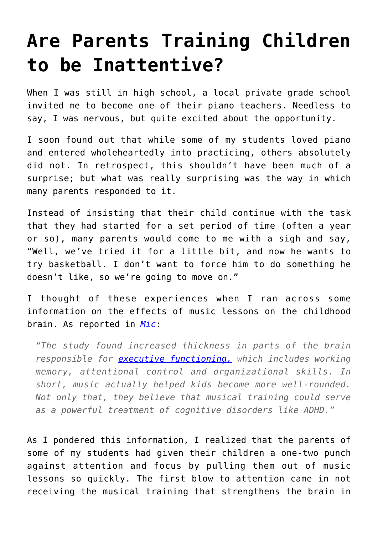## **[Are Parents Training Children](https://intellectualtakeout.org/2016/06/are-parents-training-children-to-be-inattentive/) [to be Inattentive?](https://intellectualtakeout.org/2016/06/are-parents-training-children-to-be-inattentive/)**

When I was still in high school, a local private grade school invited me to become one of their piano teachers. Needless to say, I was nervous, but quite excited about the opportunity.

I soon found out that while some of my students loved piano and entered wholeheartedly into practicing, others absolutely did not. In retrospect, this shouldn't have been much of a surprise; but what was really surprising was the way in which many parents responded to it.

Instead of insisting that their child continue with the task that they had started for a set period of time (often a year or so), many parents would come to me with a sigh and say, "Well, we've tried it for a little bit, and now he wants to try basketball. I don't want to force him to do something he doesn't like, so we're going to move on."

I thought of these experiences when I ran across some information on the effects of music lessons on the childhood brain. As reported in *[Mic](https://mic.com/articles/108022/science-just-discovered-something-amazing-about-what-childhood-piano-lessons-did-to-you#.gsyEfJKur)*:

*"The study found increased thickness in parts of the brain responsible for [executive functioning,](http://www.sciencedaily.com/releases/2014/12/141223132546.htm) which includes working memory, attentional control and organizational skills. In short, music actually helped kids become more well-rounded. Not only that, they believe that musical training could serve as a powerful treatment of cognitive disorders like ADHD."*

As I pondered this information, I realized that the parents of some of my students had given their children a one-two punch against attention and focus by pulling them out of music lessons so quickly. The first blow to attention came in not receiving the musical training that strengthens the brain in